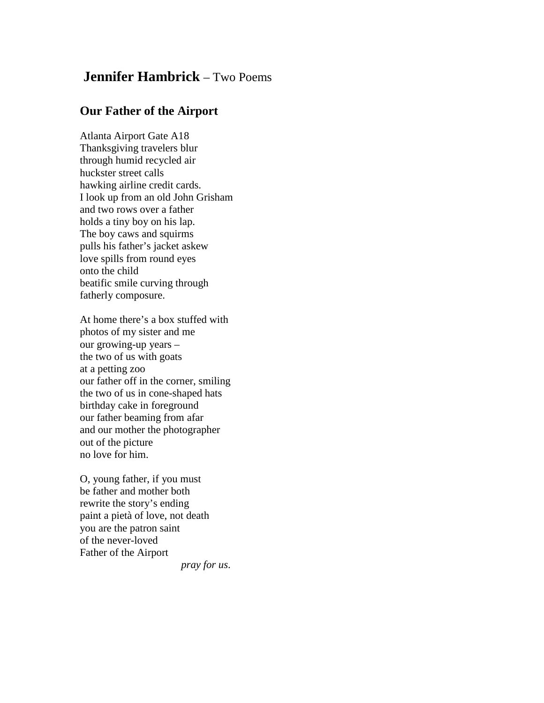## **Jennifer Hambrick** – Two Poems

## **Our Father of the Airport**

Atlanta Airport Gate A18 Thanksgiving travelers blur through humid recycled air huckster street calls hawking airline credit cards. I look up from an old John Grisham and two rows over a father holds a tiny boy on his lap. The boy caws and squirms pulls his father's jacket askew love spills from round eyes onto the child beatific smile curving through fatherly composure.

At home there's a box stuffed with photos of my sister and me our growing-up years – the two of us with goats at a petting zoo our father off in the corner, smiling the two of us in cone-shaped hats birthday cake in foreground our father beaming from afar and our mother the photographer out of the picture no love for him.

O, young father, if you must be father and mother both rewrite the story's ending paint a pietà of love, not death you are the patron saint of the never-loved Father of the Airport

 *pray for us*.